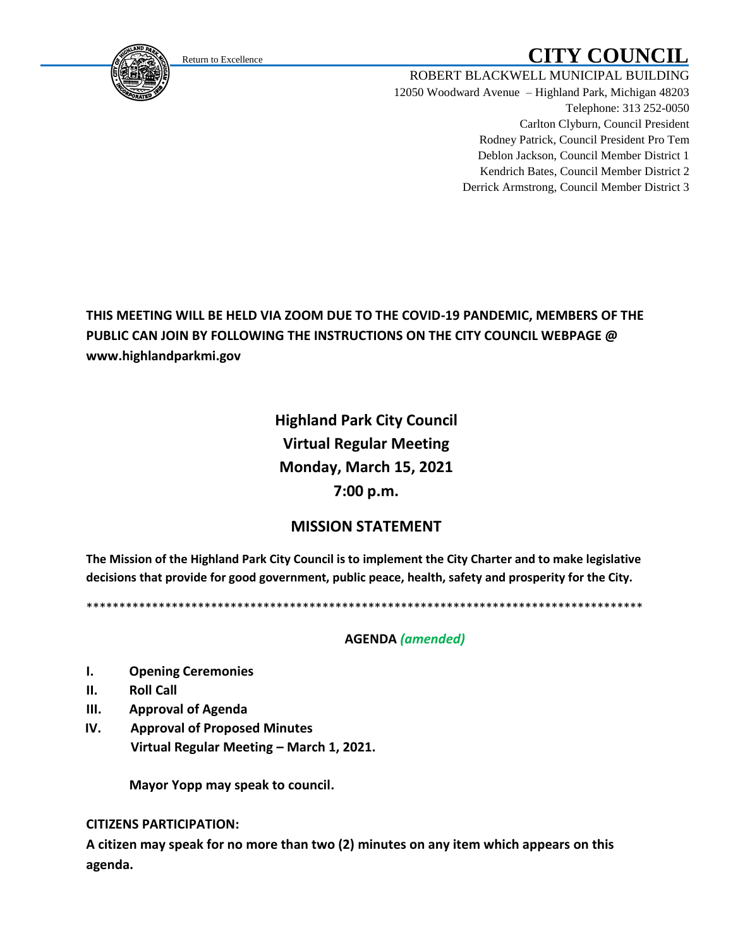<span id="page-0-0"></span>

# Return to Excellence **CITY COUNCIL**

ROBERT BLACKWELL MUNICIPAL BUILDING 12050 Woodward Avenue – Highland Park, Michigan 48203 Telephone: 313 252-0050 Carlton Clyburn, Council President Rodney Patrick, Council President Pro Tem Deblon Jackson, Council Member District 1 Kendrich Bates, Council Member District 2 Derrick Armstrong, Council Member District 3

## **THIS MEETING WILL BE HELD VIA ZOOM DUE TO THE COVID-19 PANDEMIC, MEMBERS OF THE PUBLIC CAN JOIN BY FOLLOWING THE INSTRUCTIONS ON THE CITY COUNCIL WEBPAGE @ www.highlandparkmi.gov**

**Highland Park City Council Virtual Regular Meeting Monday, March 15, 2021 7:00 p.m.**

### **MISSION STATEMENT**

**The Mission of the Highland Park City Council is to implement the City Charter and to make legislative decisions that provide for good government, public peace, health, safety and prosperity for the City.**

\*\*\*\*\*\*\*\*\*\*\*\*\*\*\*\*\*\*\*\*\*\*\*\*\*\*\*\*\*\*\*\*\*\*\*\*\*\*\*\*\*\*\*\*\*\*\*\*\*\*\*\*\*\*\*\*\*\*\*\*\*\*\*\*\*\*\*\*\*\*\*\*\*\*\*\*\*\*\*\*\*\*\*\*\*

#### **AGENDA** *(amended)*

- **I. Opening Ceremonies**
- **II. Roll Call**
- **III. Approval of Agenda**
- **IV. Approval of Proposed Minutes Virtual Regular Meeting – March 1, 2021.**

**Mayor Yopp may speak to council.** 

**CITIZENS PARTICIPATION:**

**A citizen may speak for no more than two (2) minutes on any item which appears on this agenda.**